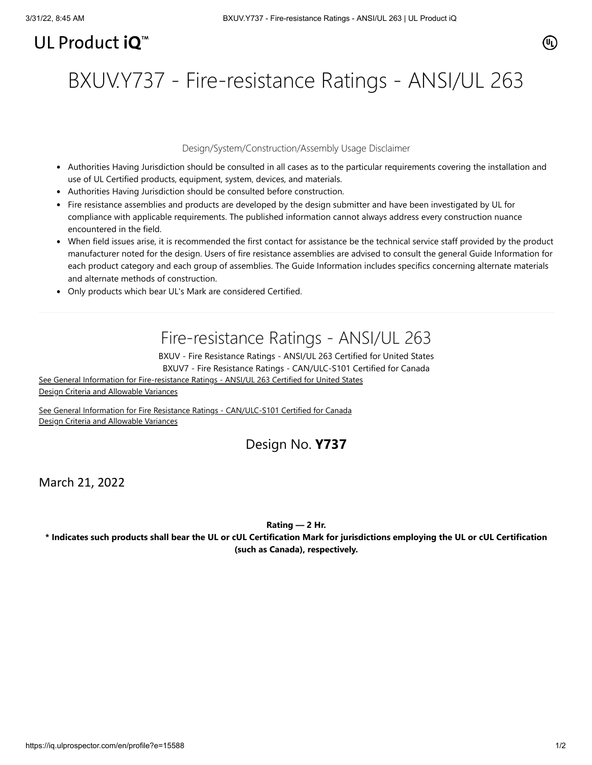# UL Product  $i\mathbf{O}^m$

BXUV.Y737 - Fire-resistance Ratings - ANSI/UL 263

### Design/System/Construction/Assembly Usage Disclaimer

- Authorities Having Jurisdiction should be consulted in all cases as to the particular requirements covering the installation and use of UL Certified products, equipment, system, devices, and materials.
- Authorities Having Jurisdiction should be consulted before construction.
- Fire resistance assemblies and products are developed by the design submitter and have been investigated by UL for compliance with applicable requirements. The published information cannot always address every construction nuance encountered in the field.
- When field issues arise, it is recommended the first contact for assistance be the technical service staff provided by the product manufacturer noted for the design. Users of fire resistance assemblies are advised to consult the general Guide Information for each product category and each group of assemblies. The Guide Information includes specifics concerning alternate materials and alternate methods of construction.
- Only products which bear UL's Mark are considered Certified.

## Fire-resistance Ratings - ANSI/UL 263

BXUV - Fire Resistance Ratings - ANSI/UL 263 Certified for United States BXUV7 - Fire Resistance Ratings - CAN/ULC-S101 Certified for Canada

[See General Information for Fire-resistance Ratings - ANSI/UL 263 Certified for United States](https://iq.ulprospector.com/en/cgi-bin/XYV/template/LISEXT/1FRAME/showpage.html?name=BXUV.GuideInfo&ccnshorttitle=Fire-resistance+Ratings+-+ANSI/UL+263&objid=1074327030&cfgid=1073741824&version=versionless&parent_id=1073984818&sequence=1) Design Criteria and Allowable Variances

[See General Information for Fire Resistance Ratings - CAN/ULC-S101 Certified for Canada](https://iq.ulprospector.com/en/cgi-bin/XYV/template/LISEXT/1FRAME/showpage.html?name=BXUV7.GuideInfo&ccnshorttitle=Fire+Resistance+Ratings+-+CAN/ULC-S101+Certified+for+Canada&objid=1074205658&cfgid=1073741824&version=versionless&parent_id=1073984820&sequence=1) Design Criteria and Allowable Variances

## Design No. **Y737**

March 21, 2022

#### **Rating — 2 Hr.**

**\* Indicates such products shall bear the UL or cUL Certification Mark for jurisdictions employing the UL or cUL Certification (such as Canada), respectively.**

(UL)